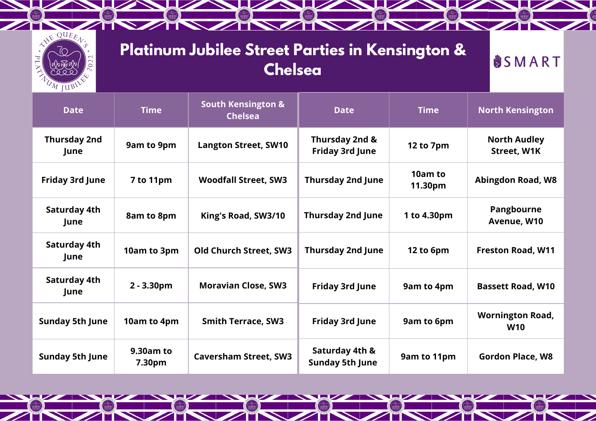

**NOTE** 

## **Platinum Jubilee Street Parties in Kensington & Chelsea**

**Alternative Comment** 

**Reserve the Common Service** 

**Reserve the Common Service** 

 $\blacksquare$ 

**SIERRA SERVICE** 

**USMART** 

 $\sim$ 

**Contract Contract Contract Contract Contract Contract Contract Contract Contract Contract Contract Contract Co** 

| <b>Date</b>                 | <b>Time</b>         | <b>South Kensington &amp;</b><br><b>Chelsea</b> | <b>Date</b>                              | <b>Time</b>        | <b>North Kensington</b>                   |
|-----------------------------|---------------------|-------------------------------------------------|------------------------------------------|--------------------|-------------------------------------------|
| <b>Thursday 2nd</b><br>June | 9am to 9pm          | <b>Langton Street, SW10</b>                     | Thursday 2nd &<br><b>Friday 3rd June</b> | 12 to 7pm          | <b>North Audley</b><br><b>Street, W1K</b> |
| <b>Friday 3rd June</b>      | 7 to 11pm           | <b>Woodfall Street, SW3</b>                     | <b>Thursday 2nd June</b>                 | 10am to<br>11.30pm | <b>Abingdon Road, W8</b>                  |
| Saturday 4th<br>June        | 8am to 8pm          | King's Road, SW3/10                             | <b>Thursday 2nd June</b>                 | 1 to 4.30pm        | Pangbourne<br>Avenue, W10                 |
| Saturday 4th<br>June        | 10am to 3pm         | <b>Old Church Street, SW3</b>                   | <b>Thursday 2nd June</b>                 | 12 to 6pm          | <b>Freston Road, W11</b>                  |
| Saturday 4th<br>June        | 2 - 3.30pm          | <b>Moravian Close, SW3</b>                      | <b>Friday 3rd June</b>                   | 9am to 4pm         | <b>Bassett Road, W10</b>                  |
| <b>Sunday 5th June</b>      | 10am to 4pm         | <b>Smith Terrace, SW3</b>                       | <b>Friday 3rd June</b>                   | 9am to 6pm         | <b>Wornington Road,</b><br><b>W10</b>     |
| <b>Sunday 5th June</b>      | 9.30am to<br>7.30pm | <b>Caversham Street, SW3</b>                    | Saturday 4th &<br><b>Sunday 5th June</b> | 9am to 11pm        | <b>Gordon Place, W8</b>                   |